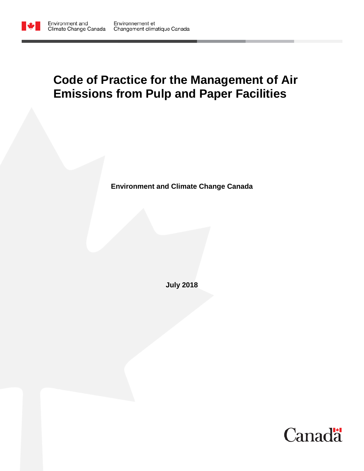

# **Code of Practice for the Management of Air Emissions from Pulp and Paper Facilities**

**Environment and Climate Change Canada**

**July 2018**

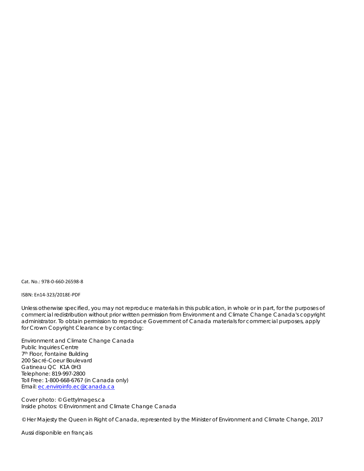Cat. No.: 978-0-660-26598-8

ISBN: En14-323/2018E-PDF

Unless otherwise specified, you may not reproduce materials in this publication, in whole or in part, for the purposes of commercial redistribution without prior written permission from Environment and Climate Change Canada's copyright administrator. To obtain permission to reproduce Government of Canada materials for commercial purposes, apply for Crown Copyright Clearance by contacting:

Environment and Climate Change Canada Public Inquiries Centre 7th Floor, Fontaine Building 200 Sacré-Coeur Boulevard Gatineau QC K1A 0H3 Telephone: 819-997-2800 Toll Free: 1-800-668-6767 (in Canada only) Email: [ec.enviroinfo.ec@canada.ca](mailto:ec.enviroinfo.ec@canada.ca)

Cover photo: © GettyImages.ca Inside photos: © Environment and Climate Change Canada

© Her Majesty the Queen in Right of Canada, represented by the Minister of Environment and Climate Change, 2017

Aussi disponible en français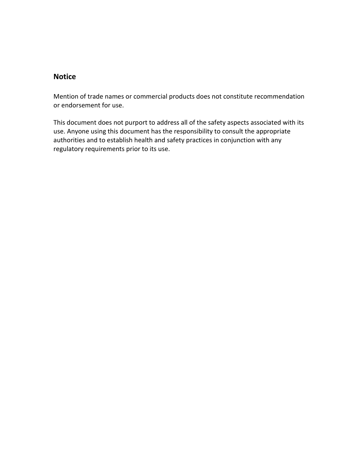# **Notice**

Mention of trade names or commercial products does not constitute recommendation or endorsement for use.

This document does not purport to address all of the safety aspects associated with its use. Anyone using this document has the responsibility to consult the appropriate authorities and to establish health and safety practices in conjunction with any regulatory requirements prior to its use.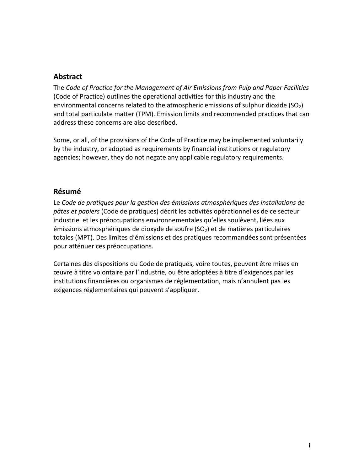# <span id="page-3-0"></span>**Abstract**

The *Code of Practice for the Management of Air Emissions from Pulp and Paper Facilities* (Code of Practice) outlines the operational activities for this industry and the environmental concerns related to the atmospheric emissions of sulphur dioxide (SO $_2$ ) and total particulate matter (TPM). Emission limits and recommended practices that can address these concerns are also described.

Some, or all, of the provisions of the Code of Practice may be implemented voluntarily by the industry, or adopted as requirements by financial institutions or regulatory agencies; however, they do not negate any applicable regulatory requirements.

# <span id="page-3-1"></span>**Résumé**

Le *Code de pratiques pour la gestion des émissions atmosphériques des installations de pâtes et papiers* (Code de pratiques) décrit les activités opérationnelles de ce secteur industriel et les préoccupations environnementales qu'elles soulèvent, liées aux émissions atmosphériques de dioxyde de soufre  $(SO<sub>2</sub>)$  et de matières particulaires totales (MPT). Des limites d'émissions et des pratiques recommandées sont présentées pour atténuer ces préoccupations.

Certaines des dispositions du Code de pratiques, voire toutes, peuvent être mises en œuvre à titre volontaire par l'industrie, ou être adoptées à titre d'exigences par les institutions financières ou organismes de réglementation, mais n'annulent pas les exigences réglementaires qui peuvent s'appliquer.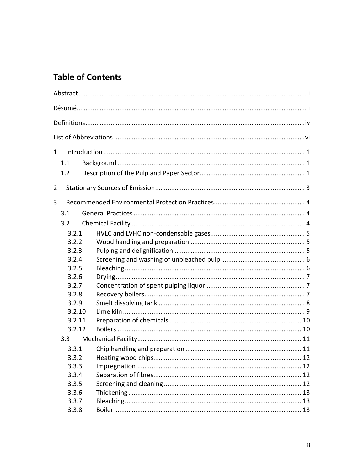# **Table of Contents**

| $\mathbf{1}$ |                  |  |  |
|--------------|------------------|--|--|
|              | 1.1              |  |  |
|              | 1.2              |  |  |
| 2            |                  |  |  |
| 3            |                  |  |  |
|              | 3.1              |  |  |
|              | 3.2              |  |  |
|              | 3.2.1            |  |  |
|              | 3.2.2            |  |  |
|              | 3.2.3            |  |  |
|              | 3.2.4            |  |  |
|              | 3.2.5            |  |  |
|              | 3.2.6            |  |  |
|              | 3.2.7            |  |  |
|              | 3.2.8            |  |  |
|              | 3.2.9            |  |  |
|              | 3.2.10           |  |  |
| 3.2.11       |                  |  |  |
|              | 3.2.12           |  |  |
|              | 3.3 <sub>2</sub> |  |  |
|              | 3.3.1            |  |  |
|              | 3.3.2            |  |  |
|              | 3.3.3            |  |  |
|              | 3.3.4            |  |  |
|              | 3.3.5            |  |  |
|              | 3.3.6            |  |  |
|              | 3.3.7            |  |  |
|              | 3.3.8            |  |  |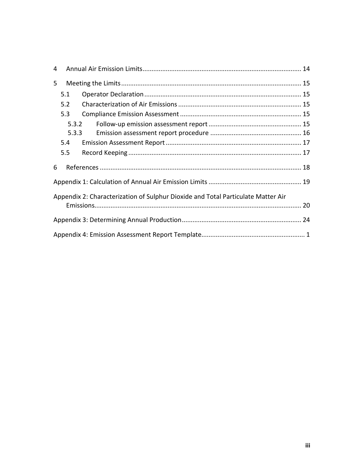| 4 |                                                                                  |  |  |  |  |
|---|----------------------------------------------------------------------------------|--|--|--|--|
| 5 |                                                                                  |  |  |  |  |
|   | 5.1                                                                              |  |  |  |  |
|   | 5.2                                                                              |  |  |  |  |
|   | 5.3                                                                              |  |  |  |  |
|   | 5.3.2                                                                            |  |  |  |  |
|   | 5.3.3                                                                            |  |  |  |  |
|   | 5.4                                                                              |  |  |  |  |
|   | 5.5                                                                              |  |  |  |  |
| 6 |                                                                                  |  |  |  |  |
|   |                                                                                  |  |  |  |  |
|   | Appendix 2: Characterization of Sulphur Dioxide and Total Particulate Matter Air |  |  |  |  |
|   |                                                                                  |  |  |  |  |
|   |                                                                                  |  |  |  |  |
|   |                                                                                  |  |  |  |  |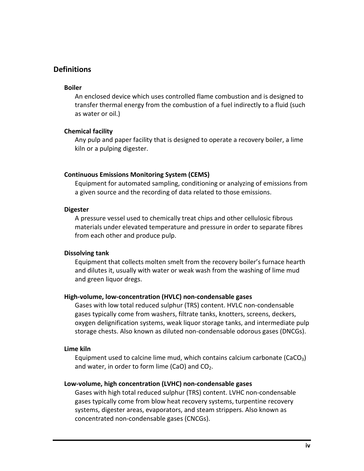# <span id="page-6-0"></span>**Definitions**

#### **Boiler**

An enclosed device which uses controlled flame combustion and is designed to transfer thermal energy from the combustion of a fuel indirectly to a fluid (such as water or oil.)

#### **Chemical facility**

Any pulp and paper facility that is designed to operate a recovery boiler, a lime kiln or a pulping digester.

#### **Continuous Emissions Monitoring System (CEMS)**

Equipment for automated sampling, conditioning or analyzing of emissions from a given source and the recording of data related to those emissions.

#### **Digester**

A pressure vessel used to chemically treat chips and other cellulosic fibrous materials under elevated temperature and pressure in order to separate fibres from each other and produce pulp.

#### **Dissolving tank**

Equipment that collects molten smelt from the recovery boiler's furnace hearth and dilutes it, usually with water or weak wash from the washing of lime mud and green liquor dregs.

#### **High-volume, low-concentration (HVLC) non-condensable gases**

Gases with low total reduced sulphur (TRS) content. HVLC non-condensable gases typically come from washers, filtrate tanks, knotters, screens, deckers, oxygen delignification systems, weak liquor storage tanks, and intermediate pulp storage chests. Also known as diluted non-condensable odorous gases (DNCGs).

#### **Lime kiln**

Equipment used to calcine lime mud, which contains calcium carbonate (CaCO<sub>3</sub>) and water, in order to form lime (CaO) and  $CO<sub>2</sub>$ .

#### **Low-volume, high concentration (LVHC) non-condensable gases**

Gases with high total reduced sulphur (TRS) content. LVHC non-condensable gases typically come from blow heat recovery systems, turpentine recovery systems, digester areas, evaporators, and steam strippers. Also known as concentrated non-condensable gases (CNCGs).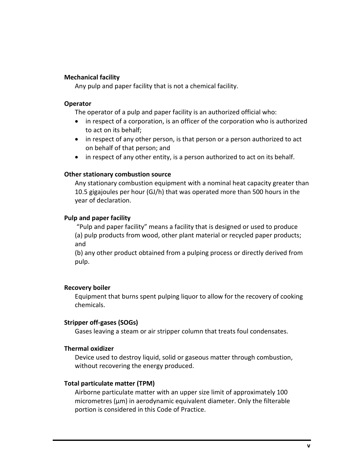#### **Mechanical facility**

Any pulp and paper facility that is not a chemical facility.

#### **Operator**

The operator of a pulp and paper facility is an authorized official who:

- in respect of a corporation, is an officer of the corporation who is authorized to act on its behalf;
- in respect of any other person, is that person or a person authorized to act on behalf of that person; and
- in respect of any other entity, is a person authorized to act on its behalf.

#### **Other stationary combustion source**

Any stationary combustion equipment with a nominal heat capacity greater than 10.5 gigajoules per hour (GJ/h) that was operated more than 500 hours in the year of declaration.

#### **Pulp and paper facility**

"Pulp and paper facility" means a facility that is designed or used to produce (a) pulp products from wood, other plant material or recycled paper products; and

(b) any other product obtained from a pulping process or directly derived from pulp.

#### **Recovery boiler**

Equipment that burns spent pulping liquor to allow for the recovery of cooking chemicals.

#### **Stripper off-gases (SOGs)**

Gases leaving a steam or air stripper column that treats foul condensates.

#### **Thermal oxidizer**

Device used to destroy liquid, solid or gaseous matter through combustion, without recovering the energy produced.

#### **Total particulate matter (TPM)**

Airborne particulate matter with an upper size limit of approximately 100 micrometres (µm) in aerodynamic equivalent diameter. Only the filterable portion is considered in this Code of Practice.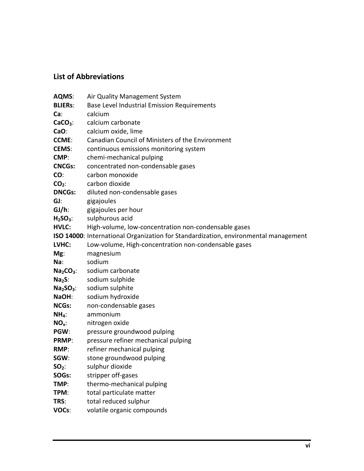# <span id="page-8-0"></span>**List of Abbreviations**

| AQMS:          | Air Quality Management System                                                       |
|----------------|-------------------------------------------------------------------------------------|
| <b>BLIERs:</b> | Base Level Industrial Emission Requirements                                         |
| Ca:            | calcium                                                                             |
| $CaCO3$ :      | calcium carbonate                                                                   |
| CaO:           | calcium oxide, lime                                                                 |
| <b>CCME:</b>   | Canadian Council of Ministers of the Environment                                    |
| <b>CEMS:</b>   | continuous emissions monitoring system                                              |
| CMP:           | chemi-mechanical pulping                                                            |
| <b>CNCGs:</b>  | concentrated non-condensable gases                                                  |
| CO:            | carbon monoxide                                                                     |
| $CO2$ :        | carbon dioxide                                                                      |
| <b>DNCGs:</b>  | diluted non-condensable gases                                                       |
| GJ:            | gigajoules                                                                          |
| $GI/h$ :       | gigajoules per hour                                                                 |
| $H2SO3$ :      | sulphurous acid                                                                     |
| <b>HVLC:</b>   | High-volume, low-concentration non-condensable gases                                |
|                | ISO 14000: International Organization for Standardization, environmental management |
| LVHC:          | Low-volume, High-concentration non-condensable gases                                |
| Mg:            | magnesium                                                                           |
| Na:            | sodium                                                                              |
| $Na2CO3$ :     | sodium carbonate                                                                    |
| $Na2S$ :       | sodium sulphide                                                                     |
| $Na2SO3$ :     | sodium sulphite                                                                     |
| NaOH:          | sodium hydroxide                                                                    |
| <b>NCGs:</b>   | non-condensable gases                                                               |
| $NH4$ :        | ammonium                                                                            |
| $NOx$ :        | nitrogen oxide                                                                      |
| PGW:           | pressure groundwood pulping                                                         |
| <b>PRMP:</b>   | pressure refiner mechanical pulping                                                 |
| RMP:           | refiner mechanical pulping                                                          |
| SGW:           | stone groundwood pulping                                                            |
| $SO2$ :        | sulphur dioxide                                                                     |
| SOGs:          | stripper off-gases                                                                  |
| TMP:           | thermo-mechanical pulping                                                           |
| TPM:           | total particulate matter                                                            |
| TRS:           | total reduced sulphur                                                               |
| VOCs:          | volatile organic compounds                                                          |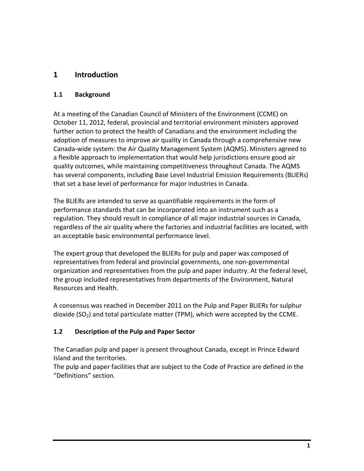# <span id="page-9-0"></span>**1 Introduction**

### <span id="page-9-1"></span>**1.1 Background**

At a meeting of the Canadian Council of Ministers of the Environment (CCME) on October 11, 2012, federal, provincial and territorial environment ministers approved further action to protect the health of Canadians and the environment including the adoption of measures to improve air quality in Canada through a comprehensive new Canada-wide system: the Air Quality Management System (AQMS). Ministers agreed to a flexible approach to implementation that would help jurisdictions ensure good air quality outcomes, while maintaining competitiveness throughout Canada. The AQMS has several components, including Base Level Industrial Emission Requirements (BLIERs) that set a base level of performance for major industries in Canada.

The BLIERs are intended to serve as quantifiable requirements in the form of performance standards that can be incorporated into an instrument such as a regulation. They should result in compliance of all major industrial sources in Canada, regardless of the air quality where the factories and industrial facilities are located, with an acceptable basic environmental performance level.

The expert group that developed the BLIERs for pulp and paper was composed of representatives from federal and provincial governments, one non-governmental organization and representatives from the pulp and paper industry. At the federal level, the group included representatives from departments of the Environment, Natural Resources and Health.

A consensus was reached in December 2011 on the Pulp and Paper BLIERs for sulphur dioxide  $(SO<sub>2</sub>)$  and total particulate matter (TPM), which were accepted by the CCME.

### <span id="page-9-2"></span>**1.2 Description of the Pulp and Paper Sector**

The Canadian pulp and paper is present throughout Canada, except in Prince Edward Island and the territories.

The pulp and paper facilities that are subject to the Code of Practice are defined in the "Definitions" section.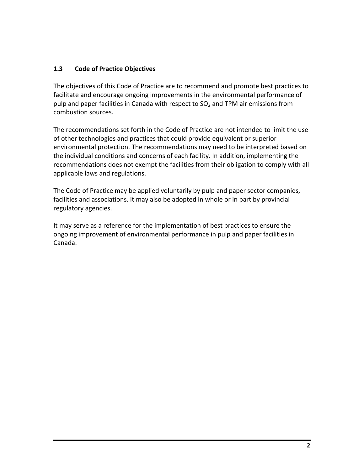### **1.3 Code of Practice Objectives**

The objectives of this Code of Practice are to recommend and promote best practices to facilitate and encourage ongoing improvements in the environmental performance of pulp and paper facilities in Canada with respect to  $SO<sub>2</sub>$  and TPM air emissions from combustion sources.

The recommendations set forth in the Code of Practice are not intended to limit the use of other technologies and practices that could provide equivalent or superior environmental protection. The recommendations may need to be interpreted based on the individual conditions and concerns of each facility. In addition, implementing the recommendations does not exempt the facilities from their obligation to comply with all applicable laws and regulations.

The Code of Practice may be applied voluntarily by pulp and paper sector companies, facilities and associations. It may also be adopted in whole or in part by provincial regulatory agencies.

It may serve as a reference for the implementation of best practices to ensure the ongoing improvement of environmental performance in pulp and paper facilities in Canada.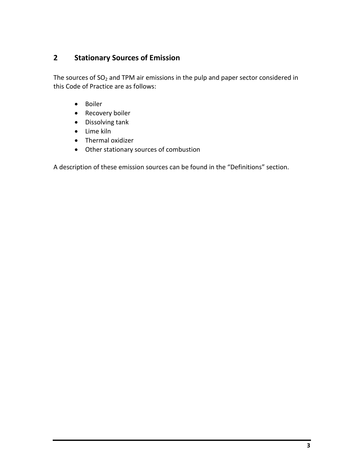# <span id="page-11-0"></span>**2 Stationary Sources of Emission**

The sources of  $SO<sub>2</sub>$  and TPM air emissions in the pulp and paper sector considered in this Code of Practice are as follows:

- Boiler
- Recovery boiler
- Dissolving tank
- Lime kiln
- Thermal oxidizer
- Other stationary sources of combustion

A description of these emission sources can be found in the "Definitions" section.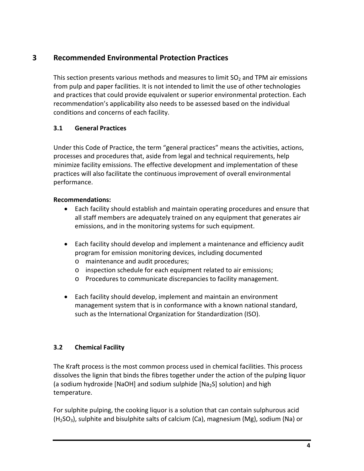# <span id="page-12-0"></span>**3 Recommended Environmental Protection Practices**

This section presents various methods and measures to limit  $SO<sub>2</sub>$  and TPM air emissions from pulp and paper facilities. It is not intended to limit the use of other technologies and practices that could provide equivalent or superior environmental protection. Each recommendation's applicability also needs to be assessed based on the individual conditions and concerns of each facility.

# <span id="page-12-1"></span>**3.1 General Practices**

Under this Code of Practice, the term "general practices" means the activities, actions, processes and procedures that, aside from legal and technical requirements, help minimize facility emissions. The effective development and implementation of these practices will also facilitate the continuous improvement of overall environmental performance.

### **Recommendations:**

- Each facility should establish and maintain operating procedures and ensure that all staff members are adequately trained on any equipment that generates air emissions, and in the monitoring systems for such equipment.
- Each facility should develop and implement a maintenance and efficiency audit program for emission monitoring devices, including documented
	- o maintenance and audit procedures;
	- o inspection schedule for each equipment related to air emissions;
	- o Procedures to communicate discrepancies to facility management.
- Each facility should develop, implement and maintain an environment management system that is in conformance with a known national standard, such as the International Organization for Standardization (ISO).

# <span id="page-12-2"></span>**3.2 Chemical Facility**

The Kraft process is the most common process used in chemical facilities. This process dissolves the lignin that binds the fibres together under the action of the pulping liquor (a sodium hydroxide [NaOH] and sodium sulphide  $[Na<sub>2</sub>S]$  solution) and high temperature.

For sulphite pulping, the cooking liquor is a solution that can contain sulphurous acid  $(H<sub>2</sub>SO<sub>3</sub>)$ , sulphite and bisulphite salts of calcium (Ca), magnesium (Mg), sodium (Na) or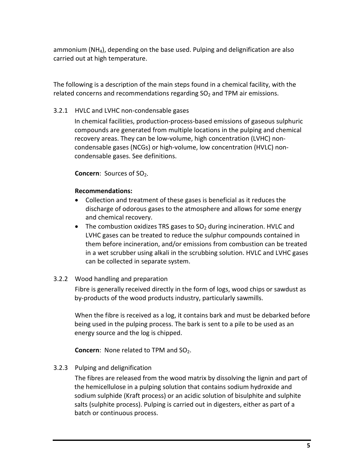ammonium ( $NH<sub>4</sub>$ ), depending on the base used. Pulping and delignification are also carried out at high temperature.

The following is a description of the main steps found in a chemical facility, with the related concerns and recommendations regarding  $SO<sub>2</sub>$  and TPM air emissions.

#### <span id="page-13-0"></span>3.2.1 HVLC and LVHC non-condensable gases

In chemical facilities, production-process-based emissions of gaseous sulphuric compounds are generated from multiple locations in the pulping and chemical recovery areas. They can be low-volume, high concentration (LVHC) noncondensable gases (NCGs) or high-volume, low concentration (HVLC) noncondensable gases. See definitions.

**Concern:** Sources of SO<sub>2</sub>.

#### **Recommendations:**

- Collection and treatment of these gases is beneficial as it reduces the discharge of odorous gases to the atmosphere and allows for some energy and chemical recovery.
- The combustion oxidizes TRS gases to  $SO<sub>2</sub>$  during incineration. HVLC and LVHC gases can be treated to reduce the sulphur compounds contained in them before incineration, and/or emissions from combustion can be treated in a wet scrubber using alkali in the scrubbing solution. HVLC and LVHC gases can be collected in separate system.

### <span id="page-13-1"></span>3.2.2 Wood handling and preparation

Fibre is generally received directly in the form of logs, wood chips or sawdust as by-products of the wood products industry, particularly sawmills.

When the fibre is received as a log, it contains bark and must be debarked before being used in the pulping process. The bark is sent to a pile to be used as an energy source and the log is chipped.

**Concern:** None related to TPM and SO<sub>2</sub>.

### <span id="page-13-2"></span>3.2.3 Pulping and delignification

The fibres are released from the wood matrix by dissolving the lignin and part of the hemicellulose in a pulping solution that contains sodium hydroxide and sodium sulphide (Kraft process) or an acidic solution of bisulphite and sulphite salts (sulphite process). Pulping is carried out in digesters, either as part of a batch or continuous process.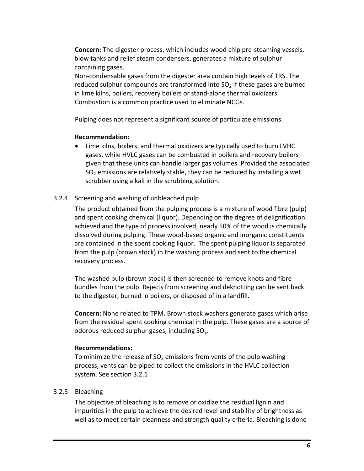**Concern:** The digester process, which includes wood chip pre-steaming vessels, blow tanks and relief steam condensers, generates a mixture of sulphur containing gases.

Non-condensable gases from the digester area contain high levels of TRS. The reduced sulphur compounds are transformed into  $SO<sub>2</sub>$  if these gases are burned in lime kilns, boilers, recovery boilers or stand-alone thermal oxidizers. Combustion is a common practice used to eliminate NCGs.

Pulping does not represent a significant source of particulate emissions.

#### **Recommendation:**

• Lime kilns, boilers, and thermal oxidizers are typically used to burn LVHC gases, while HVLC gases can be combusted in boilers and recovery boilers given that these units can handle larger gas volumes. Provided the associated  $SO<sub>2</sub>$  emissions are relatively stable, they can be reduced by installing a wet scrubber using alkali in the scrubbing solution.

### <span id="page-14-0"></span>3.2.4 Screening and washing of unbleached pulp

The product obtained from the pulping process is a mixture of wood fibre (pulp) and spent cooking chemical (liquor). Depending on the degree of delignification achieved and the type of process involved, nearly 50% of the wood is chemically dissolved during pulping. These wood-based organic and inorganic constituents are contained in the spent cooking liquor. The spent pulping liquor is separated from the pulp (brown stock) in the washing process and sent to the chemical recovery process.

The washed pulp (brown stock) is then screened to remove knots and fibre bundles from the pulp. Rejects from screening and deknotting can be sent back to the digester, burned in boilers, or disposed of in a landfill.

**Concern:** None related to TPM. Brown stock washers generate gases which arise from the residual spent cooking chemical in the pulp. These gases are a source of odorous reduced sulphur gases, including  $SO<sub>2</sub>$ .

### **Recommendations:**

To minimize the release of  $SO<sub>2</sub>$  emissions from vents of the pulp washing process, vents can be piped to collect the emissions in the HVLC collection system. See section 3.2.1

### <span id="page-14-1"></span>3.2.5 Bleaching

The objective of bleaching is to remove or oxidize the residual lignin and impurities in the pulp to achieve the desired level and stability of brightness as well as to meet certain cleanness and strength quality criteria. Bleaching is done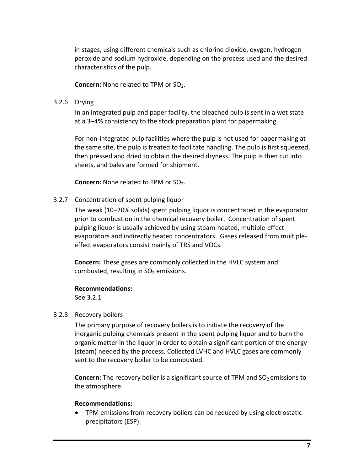in stages, using different chemicals such as chlorine dioxide, oxygen, hydrogen peroxide and sodium hydroxide, depending on the process used and the desired characteristics of the pulp.

**Concern:** None related to TPM or SO<sub>2</sub>.

#### <span id="page-15-0"></span>3.2.6 Drying

In an integrated pulp and paper facility, the bleached pulp is sent in a wet state at a 3–4% consistency to the stock preparation plant for papermaking.

For non-integrated pulp facilities where the pulp is not used for papermaking at the same site, the pulp is treated to facilitate handling. The pulp is first squeezed, then pressed and dried to obtain the desired dryness. The pulp is then cut into sheets, and bales are formed for shipment.

**Concern:** None related to TPM or SO<sub>2</sub>.

### <span id="page-15-1"></span>3.2.7 Concentration of spent pulping liquor

The weak (10–20% solids) spent pulping liquor is concentrated in the evaporator prior to combustion in the chemical recovery boiler. Concentration of spent pulping liquor is usually achieved by using steam-heated, multiple-effect evaporators and indirectly heated concentrators. Gases released from multipleeffect evaporators consist mainly of TRS and VOCs.

**Concern:** These gases are commonly collected in the HVLC system and combusted, resulting in  $SO<sub>2</sub>$  emissions.

#### **Recommendations:**

See 3.2.1

#### <span id="page-15-2"></span>3.2.8 Recovery boilers

The primary purpose of recovery boilers is to initiate the recovery of the inorganic pulping chemicals present in the spent pulping liquor and to burn the organic matter in the liquor in order to obtain a significant portion of the energy (steam) needed by the process. Collected LVHC and HVLC gases are commonly sent to the recovery boiler to be combusted.

**Concern:** The recovery boiler is a significant source of TPM and SO<sub>2</sub> emissions to the atmosphere.

#### **Recommendations:**

• TPM emissions from recovery boilers can be reduced by using electrostatic precipitators (ESP).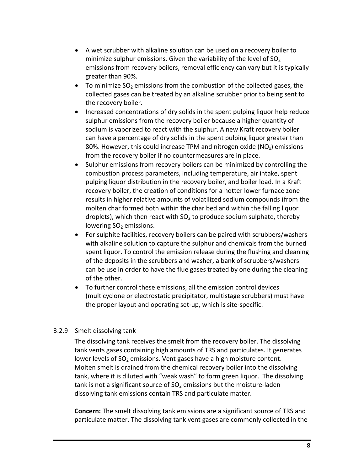- A wet scrubber with alkaline solution can be used on a recovery boiler to minimize sulphur emissions. Given the variability of the level of  $SO<sub>2</sub>$ emissions from recovery boilers, removal efficiency can vary but it is typically greater than 90%.
- To minimize  $SO_2$  emissions from the combustion of the collected gases, the collected gases can be treated by an alkaline scrubber prior to being sent to the recovery boiler.
- Increased concentrations of dry solids in the spent pulping liquor help reduce sulphur emissions from the recovery boiler because a higher quantity of sodium is vaporized to react with the sulphur. A new Kraft recovery boiler can have a percentage of dry solids in the spent pulping liquor greater than 80%. However, this could increase TPM and nitrogen oxide  $(NO<sub>x</sub>)$  emissions from the recovery boiler if no countermeasures are in place.
- Sulphur emissions from recovery boilers can be minimized by controlling the combustion process parameters, including temperature, air intake, spent pulping liquor distribution in the recovery boiler, and boiler load. In a Kraft recovery boiler, the creation of conditions for a hotter lower furnace zone results in higher relative amounts of volatilized sodium compounds (from the molten char formed both within the char bed and within the falling liquor droplets), which then react with  $SO<sub>2</sub>$  to produce sodium sulphate, thereby lowering  $SO<sub>2</sub>$  emissions.
- For sulphite facilities, recovery boilers can be paired with scrubbers/washers with alkaline solution to capture the sulphur and chemicals from the burned spent liquor. To control the emission release during the flushing and cleaning of the deposits in the scrubbers and washer, a bank of scrubbers/washers can be use in order to have the flue gases treated by one during the cleaning of the other.
- To further control these emissions, all the emission control devices (multicyclone or electrostatic precipitator, multistage scrubbers) must have the proper layout and operating set-up, which is site-specific.

### <span id="page-16-0"></span>3.2.9 Smelt dissolving tank

The dissolving tank receives the smelt from the recovery boiler. The dissolving tank vents gases containing high amounts of TRS and particulates. It generates lower levels of  $SO<sub>2</sub>$  emissions. Vent gases have a high moisture content. Molten smelt is drained from the chemical recovery boiler into the dissolving tank, where it is diluted with "weak wash" to form green liquor. The dissolving tank is not a significant source of  $SO<sub>2</sub>$  emissions but the moisture-laden dissolving tank emissions contain TRS and particulate matter.

**Concern:** The smelt dissolving tank emissions are a significant source of TRS and particulate matter. The dissolving tank vent gases are commonly collected in the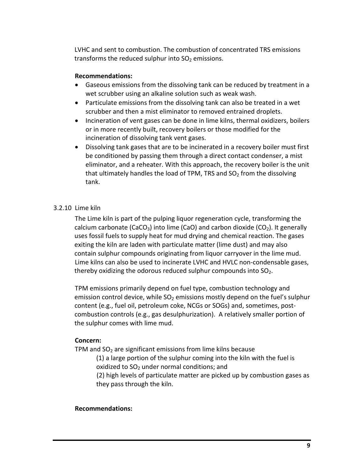LVHC and sent to combustion. The combustion of concentrated TRS emissions transforms the reduced sulphur into  $SO<sub>2</sub>$  emissions.

#### **Recommendations:**

- Gaseous emissions from the dissolving tank can be reduced by treatment in a wet scrubber using an alkaline solution such as weak wash.
- Particulate emissions from the dissolving tank can also be treated in a wet scrubber and then a mist eliminator to removed entrained droplets.
- Incineration of vent gases can be done in lime kilns, thermal oxidizers, boilers or in more recently built, recovery boilers or those modified for the incineration of dissolving tank vent gases.
- Dissolving tank gases that are to be incinerated in a recovery boiler must first be conditioned by passing them through a direct contact condenser, a mist eliminator, and a reheater. With this approach, the recovery boiler is the unit that ultimately handles the load of TPM, TRS and  $SO<sub>2</sub>$  from the dissolving tank.

### <span id="page-17-0"></span>3.2.10 Lime kiln

The Lime kiln is part of the pulping liquor regeneration cycle, transforming the calcium carbonate (CaCO<sub>3</sub>) into lime (CaO) and carbon dioxide (CO<sub>2</sub>). It generally uses fossil fuels to supply heat for mud drying and chemical reaction. The gases exiting the kiln are laden with particulate matter (lime dust) and may also contain sulphur compounds originating from liquor carryover in the lime mud. Lime kilns can also be used to incinerate LVHC and HVLC non-condensable gases, thereby oxidizing the odorous reduced sulphur compounds into  $SO<sub>2</sub>$ .

TPM emissions primarily depend on fuel type, combustion technology and emission control device, while  $SO<sub>2</sub>$  emissions mostly depend on the fuel's sulphur content (e.g., fuel oil, petroleum coke, NCGs or SOGs) and, sometimes, postcombustion controls (e.g., gas desulphurization). A relatively smaller portion of the sulphur comes with lime mud.

### **Concern:**

TPM and  $SO<sub>2</sub>$  are significant emissions from lime kilns because

(1) a large portion of the sulphur coming into the kiln with the fuel is oxidized to  $SO<sub>2</sub>$  under normal conditions; and

(2) high levels of particulate matter are picked up by combustion gases as they pass through the kiln.

### **Recommendations:**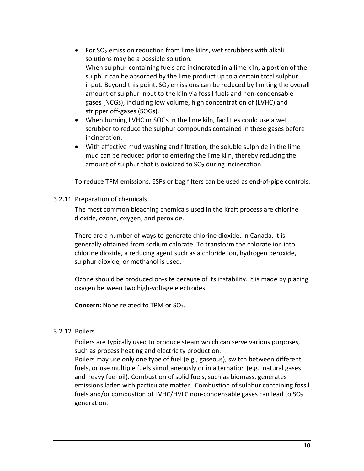- For  $SO<sub>2</sub>$  emission reduction from lime kilns, wet scrubbers with alkali solutions may be a possible solution. When sulphur-containing fuels are incinerated in a lime kiln, a portion of the sulphur can be absorbed by the lime product up to a certain total sulphur input. Beyond this point,  $SO<sub>2</sub>$  emissions can be reduced by limiting the overall amount of sulphur input to the kiln via fossil fuels and non-condensable gases (NCGs), including low volume, high concentration of (LVHC) and stripper off-gases (SOGs).
- When burning LVHC or SOGs in the lime kiln, facilities could use a wet scrubber to reduce the sulphur compounds contained in these gases before incineration.
- With effective mud washing and filtration, the soluble sulphide in the lime mud can be reduced prior to entering the lime kiln, thereby reducing the amount of sulphur that is oxidized to  $SO<sub>2</sub>$  during incineration.

To reduce TPM emissions, ESPs or bag filters can be used as end-of-pipe controls.

#### <span id="page-18-0"></span>3.2.11 Preparation of chemicals

The most common bleaching chemicals used in the Kraft process are chlorine dioxide, ozone, oxygen, and peroxide.

There are a number of ways to generate chlorine dioxide. In Canada, it is generally obtained from sodium chlorate. To transform the chlorate ion into chlorine dioxide, a reducing agent such as a chloride ion, hydrogen peroxide, sulphur dioxide, or methanol is used.

Ozone should be produced on-site because of its instability. It is made by placing oxygen between two high-voltage electrodes.

**Concern:** None related to TPM or SO<sub>2</sub>.

#### <span id="page-18-1"></span>3.2.12 Boilers

Boilers are typically used to produce steam which can serve various purposes, such as process heating and electricity production.

Boilers may use only one type of fuel (e.g., gaseous), switch between different fuels, or use multiple fuels simultaneously or in alternation (e.g., natural gases and heavy fuel oil). Combustion of solid fuels, such as biomass, generates emissions laden with particulate matter. Combustion of sulphur containing fossil fuels and/or combustion of LVHC/HVLC non-condensable gases can lead to  $SO_2$ generation.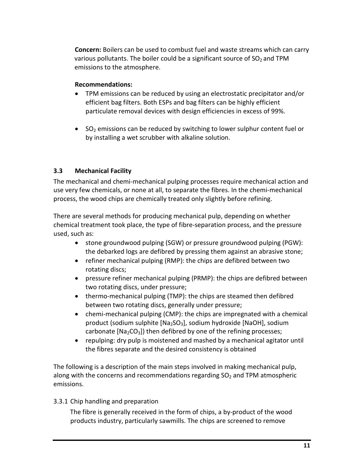**Concern:** Boilers can be used to combust fuel and waste streams which can carry various pollutants. The boiler could be a significant source of  $SO<sub>2</sub>$  and TPM emissions to the atmosphere.

### **Recommendations:**

- TPM emissions can be reduced by using an electrostatic precipitator and/or efficient bag filters. Both ESPs and bag filters can be highly efficient particulate removal devices with design efficiencies in excess of 99%.
- SO<sub>2</sub> emissions can be reduced by switching to lower sulphur content fuel or by installing a wet scrubber with alkaline solution.

# <span id="page-19-0"></span>**3.3 Mechanical Facility**

The mechanical and chemi-mechanical pulping processes require mechanical action and use very few chemicals, or none at all, to separate the fibres. In the chemi-mechanical process, the wood chips are chemically treated only slightly before refining.

There are several methods for producing mechanical pulp, depending on whether chemical treatment took place, the type of fibre-separation process, and the pressure used, such as:

- stone groundwood pulping (SGW) or pressure groundwood pulping (PGW): the debarked logs are defibred by pressing them against an abrasive stone;
- refiner mechanical pulping (RMP): the chips are defibred between two rotating discs;
- pressure refiner mechanical pulping (PRMP): the chips are defibred between two rotating discs, under pressure;
- thermo-mechanical pulping (TMP): the chips are steamed then defibred between two rotating discs, generally under pressure;
- chemi-mechanical pulping (CMP): the chips are impregnated with a chemical product (sodium sulphite  $[Na_2SO_3]$ , sodium hydroxide  $[NaOH]$ , sodium carbonate  $[Na_2CO_3]$ ) then defibred by one of the refining processes;
- repulping: dry pulp is moistened and mashed by a mechanical agitator until the fibres separate and the desired consistency is obtained

The following is a description of the main steps involved in making mechanical pulp, along with the concerns and recommendations regarding  $SO<sub>2</sub>$  and TPM atmospheric emissions.

### <span id="page-19-1"></span>3.3.1 Chip handling and preparation

The fibre is generally received in the form of chips, a by-product of the wood products industry, particularly sawmills. The chips are screened to remove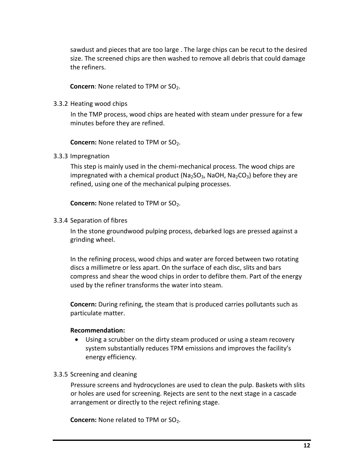sawdust and pieces that are too large . The large chips can be recut to the desired size. The screened chips are then washed to remove all debris that could damage the refiners.

**Concern:** None related to TPM or SO<sub>2</sub>.

<span id="page-20-0"></span>3.3.2 Heating wood chips

In the TMP process, wood chips are heated with steam under pressure for a few minutes before they are refined.

**Concern:** None related to TPM or SO<sub>2</sub>.

<span id="page-20-1"></span>3.3.3 Impregnation

This step is mainly used in the chemi-mechanical process. The wood chips are impregnated with a chemical product ( $Na_2SO_3$ , NaOH,  $Na_2CO_3$ ) before they are refined, using one of the mechanical pulping processes.

**Concern:** None related to TPM or SO<sub>2</sub>.

<span id="page-20-2"></span>3.3.4 Separation of fibres

In the stone groundwood pulping process, debarked logs are pressed against a grinding wheel.

In the refining process, wood chips and water are forced between two rotating discs a millimetre or less apart. On the surface of each disc, slits and bars compress and shear the wood chips in order to defibre them. Part of the energy used by the refiner transforms the water into steam.

**Concern:** During refining, the steam that is produced carries pollutants such as particulate matter.

#### **Recommendation:**

- Using a scrubber on the dirty steam produced or using a steam recovery system substantially reduces TPM emissions and improves the facility's energy efficiency.
- <span id="page-20-3"></span>3.3.5 Screening and cleaning

Pressure screens and hydrocyclones are used to clean the pulp. Baskets with slits or holes are used for screening. Rejects are sent to the next stage in a cascade arrangement or directly to the reject refining stage.

**Concern:** None related to TPM or SO<sub>2</sub>.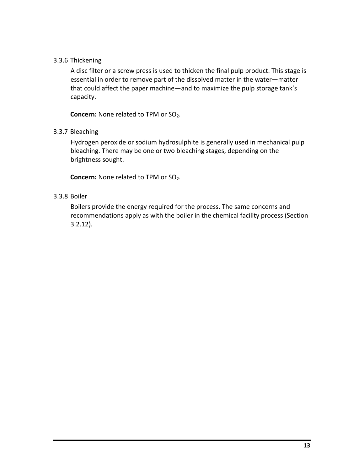### <span id="page-21-0"></span>3.3.6 Thickening

A disc filter or a screw press is used to thicken the final pulp product. This stage is essential in order to remove part of the dissolved matter in the water—matter that could affect the paper machine—and to maximize the pulp storage tank's capacity.

**Concern:** None related to TPM or SO<sub>2</sub>.

### <span id="page-21-1"></span>3.3.7 Bleaching

Hydrogen peroxide or sodium hydrosulphite is generally used in mechanical pulp bleaching. There may be one or two bleaching stages, depending on the brightness sought.

**Concern:** None related to TPM or SO<sub>2</sub>.

#### <span id="page-21-2"></span>3.3.8 Boiler

Boilers provide the energy required for the process. The same concerns and recommendations apply as with the boiler in the chemical facility process (Section 3.2.12).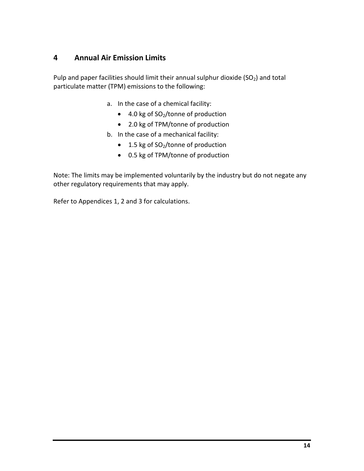# <span id="page-22-0"></span>**4 Annual Air Emission Limits**

Pulp and paper facilities should limit their annual sulphur dioxide ( $SO<sub>2</sub>$ ) and total particulate matter (TPM) emissions to the following:

- a. In the case of a chemical facility:
	- 4.0 kg of SO<sub>2</sub>/tonne of production
	- 2.0 kg of TPM/tonne of production
- b. In the case of a mechanical facility:
	- 1.5 kg of SO<sub>2</sub>/tonne of production
	- 0.5 kg of TPM/tonne of production

Note: The limits may be implemented voluntarily by the industry but do not negate any other regulatory requirements that may apply.

Refer to Appendices 1, 2 and 3 for calculations.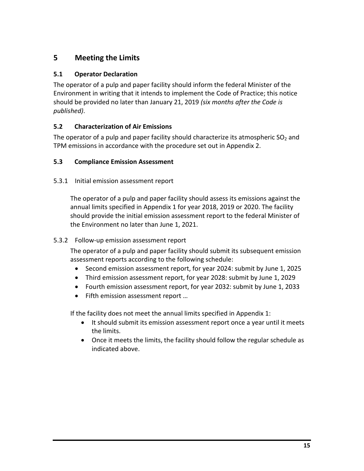# <span id="page-23-0"></span>**5 Meeting the Limits**

### <span id="page-23-1"></span>**5.1 Operator Declaration**

The operator of a pulp and paper facility should inform the federal Minister of the Environment in writing that it intends to implement the Code of Practice; this notice should be provided no later than January 21, 2019 *(six months after the Code is published)*.

### <span id="page-23-2"></span>**5.2 Characterization of Air Emissions**

The operator of a pulp and paper facility should characterize its atmospheric  $SO<sub>2</sub>$  and TPM emissions in accordance with the procedure set out in Appendix 2.

### <span id="page-23-3"></span>**5.3 Compliance Emission Assessment**

### 5.3.1 Initial emission assessment report

The operator of a pulp and paper facility should assess its emissions against the annual limits specified in Appendix 1 for year 2018, 2019 or 2020. The facility should provide the initial emission assessment report to the federal Minister of the Environment no later than June 1, 2021.

### <span id="page-23-4"></span>5.3.2 Follow-up emission assessment report

The operator of a pulp and paper facility should submit its subsequent emission assessment reports according to the following schedule:

- Second emission assessment report, for year 2024: submit by June 1, 2025
- Third emission assessment report, for year 2028: submit by June 1, 2029
- Fourth emission assessment report, for year 2032: submit by June 1, 2033
- Fifth emission assessment report …

If the facility does not meet the annual limits specified in Appendix 1:

- It should submit its emission assessment report once a year until it meets the limits.
- Once it meets the limits, the facility should follow the regular schedule as indicated above.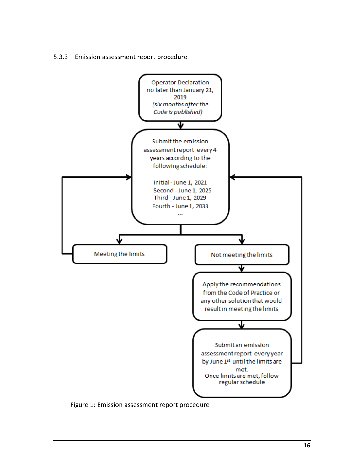<span id="page-24-0"></span>



Figure 1: Emission assessment report procedure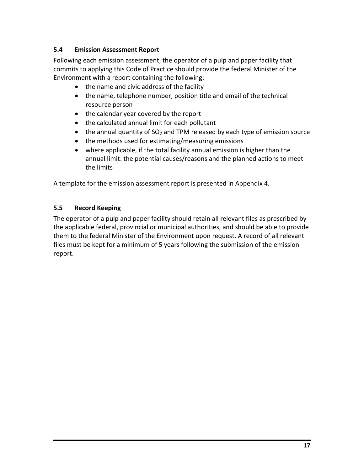### <span id="page-25-0"></span>**5.4 Emission Assessment Report**

Following each emission assessment, the operator of a pulp and paper facility that commits to applying this Code of Practice should provide the federal Minister of the Environment with a report containing the following:

- the name and civic address of the facility
- the name, telephone number, position title and email of the technical resource person
- the calendar year covered by the report
- the calculated annual limit for each pollutant
- the annual quantity of  $SO<sub>2</sub>$  and TPM released by each type of emission source
- the methods used for estimating/measuring emissions
- where applicable, if the total facility annual emission is higher than the annual limit: the potential causes/reasons and the planned actions to meet the limits

A template for the emission assessment report is presented in Appendix 4.

### <span id="page-25-1"></span>**5.5 Record Keeping**

The operator of a pulp and paper facility should retain all relevant files as prescribed by the applicable federal, provincial or municipal authorities, and should be able to provide them to the federal Minister of the Environment upon request. A record of all relevant files must be kept for a minimum of 5 years following the submission of the emission report.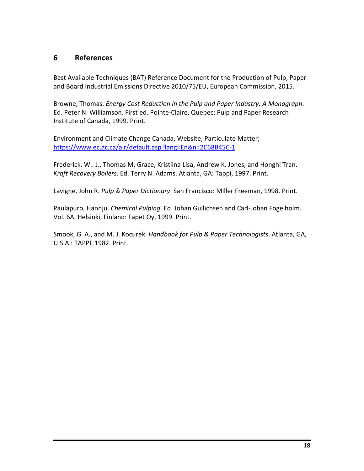# <span id="page-26-0"></span>**6 References**

Best Available Techniques (BAT) Reference Document for the Production of Pulp, Paper and Board Industrial Emissions Directive 2010/75/EU, European Commission, 2015.

Browne, Thomas. *Energy Cost Reduction in the Pulp and Paper Industry: A Monograph*. Ed. Peter N. Williamson. First ed. Pointe-Claire, Quebec: Pulp and Paper Research Institute of Canada, 1999. Print.

Environment and Climate Change Canada, Website, Particulate Matter; <https://www.ec.gc.ca/air/default.asp?lang=En&n=2C68B45C-1>

Frederick, W.. J., Thomas M. Grace, Kristiina Lisa, Andrew K. Jones, and Honghi Tran. *Kraft Recovery Boilers*. Ed. Terry N. Adams. Atlanta, GA: Tappi, 1997. Print.

Lavigne, John R. *Pulp & Paper Dictionary*. San Francisco: Miller Freeman, 1998. Print.

Paulapuro, Hannju. *Chemical Pulping*. Ed. Johan Gullichsen and Carl-Johan Fogelholm. Vol. 6A. Helsinki, Finland: Fapet Oy, 1999. Print.

Smook, G. A., and M. J. Kocurek. *Handbook for Pulp & Paper Technologists*. Atlanta, GA, U.S.A.: TAPPI, 1982. Print.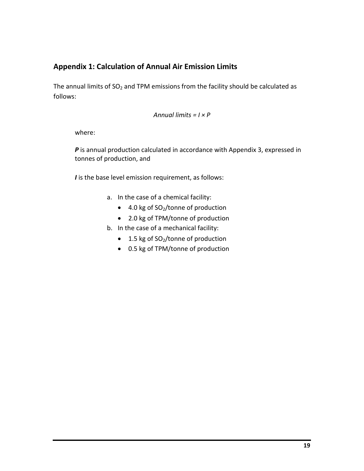# <span id="page-27-0"></span>**Appendix 1: Calculation of Annual Air Emission Limits**

The annual limits of  $SO<sub>2</sub>$  and TPM emissions from the facility should be calculated as follows:

```
Annual limits = I × P
```
where:

**P** is annual production calculated in accordance with Appendix 3, expressed in tonnes of production, and

*I* is the base level emission requirement, as follows:

- a. In the case of a chemical facility:
	- 4.0 kg of SO<sub>2</sub>/tonne of production
	- 2.0 kg of TPM/tonne of production
- b. In the case of a mechanical facility:
	- 1.5 kg of  $SO<sub>2</sub>/$ tonne of production
	- 0.5 kg of TPM/tonne of production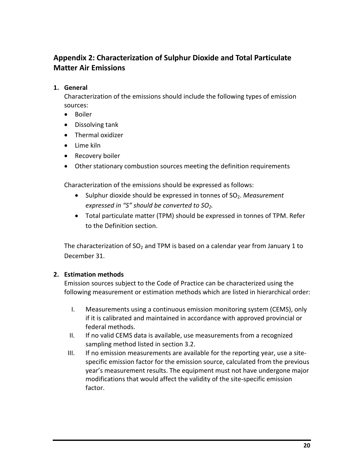# <span id="page-28-0"></span>**Appendix 2: Characterization of Sulphur Dioxide and Total Particulate Matter Air Emissions**

# **1. General**

Characterization of the emissions should include the following types of emission sources:

- Boiler
- Dissolving tank
- Thermal oxidizer
- Lime kiln
- Recovery boiler
- Other stationary combustion sources meeting the definition requirements

Characterization of the emissions should be expressed as follows:

- Sulphur dioxide should be expressed in tonnes of SO<sub>2</sub>. Measurement *expressed in "S" should be converted to SO2.*
- Total particulate matter (TPM) should be expressed in tonnes of TPM. Refer to the Definition section.

The characterization of  $SO<sub>2</sub>$  and TPM is based on a calendar year from January 1 to December 31.

# **2. Estimation methods**

Emission sources subject to the Code of Practice can be characterized using the following measurement or estimation methods which are listed in hierarchical order:

- I. Measurements using a continuous emission monitoring system (CEMS), only if it is calibrated and maintained in accordance with approved provincial or federal methods.
- II. If no valid CEMS data is available, use measurements from a recognized sampling method listed in section 3.2.
- III. If no emission measurements are available for the reporting year, use a sitespecific emission factor for the emission source, calculated from the previous year's measurement results. The equipment must not have undergone major modifications that would affect the validity of the site-specific emission factor.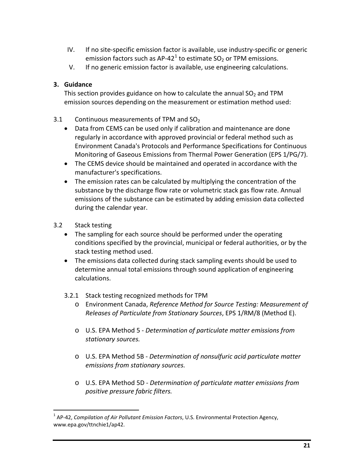- IV. If no site-specific emission factor is available, use industry-specific or generic emission factors such as AP-42<sup>[1](#page-29-0)</sup> to estimate  $SO_2$  or TPM emissions.
- V. If no generic emission factor is available, use engineering calculations.

# **3. Guidance**

This section provides guidance on how to calculate the annual  $SO<sub>2</sub>$  and TPM emission sources depending on the measurement or estimation method used:

- 3.1 Continuous measurements of TPM and  $SO<sub>2</sub>$ 
	- Data from CEMS can be used only if calibration and maintenance are done regularly in accordance with approved provincial or federal method such as Environment Canada's Protocols and Performance Specifications for Continuous Monitoring of Gaseous Emissions from Thermal Power Generation (EPS 1/PG/7).
	- The CEMS device should be maintained and operated in accordance with the manufacturer's specifications.
	- The emission rates can be calculated by multiplying the concentration of the substance by the discharge flow rate or volumetric stack gas flow rate. Annual emissions of the substance can be estimated by adding emission data collected during the calendar year.
- 3.2 Stack testing
	- The sampling for each source should be performed under the operating conditions specified by the provincial, municipal or federal authorities, or by the stack testing method used.
	- The emissions data collected during stack sampling events should be used to determine annual total emissions through sound application of engineering calculations.
	- 3.2.1 Stack testing recognized methods for TPM
		- o Environment Canada, *Reference Method for Source Testing: Measurement of Releases of Particulate from Stationary Sources*, EPS 1/RM/8 (Method E).
		- o U.S. EPA Method 5 *Determination of particulate matter emissions from stationary sources.*
		- o U.S. EPA Method 5B *Determination of nonsulfuric acid particulate matter emissions from stationary sources.*
		- o U.S. EPA Method 5D *Determination of particulate matter emissions from positive pressure fabric filters.*

<span id="page-29-0"></span> <sup>1</sup> AP-42, *Compilation of Air Pollutant Emission Factors*, U.S. Environmental Protection Agency, www.epa.gov/ttnchie1/ap42.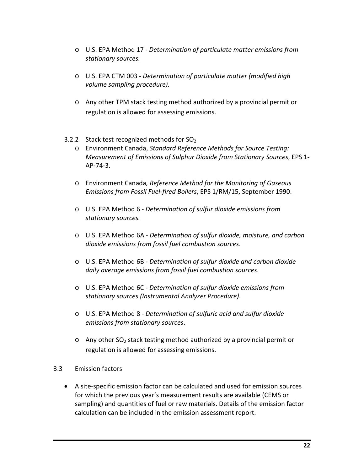- o U.S. EPA Method 17 *Determination of particulate matter emissions from stationary sources.*
- o U.S. EPA CTM 003 *Determination of particulate matter (modified high volume sampling procedure).*
- o Any other TPM stack testing method authorized by a provincial permit or regulation is allowed for assessing emissions.
- 3.2.2 Stack test recognized methods for  $SO<sub>2</sub>$ 
	- o Environment Canada, *Standard Reference Methods for Source Testing: Measurement of Emissions of Sulphur Dioxide from Stationary Sources*, EPS 1- AP-74-3.
	- o Environment Canada*, Reference Method for the Monitoring of Gaseous Emissions from Fossil Fuel-fired Boilers*, EPS 1/RM/15, September 1990.
	- o U.S. EPA Method 6 *Determination of sulfur dioxide emissions from stationary sources.*
	- o U.S. EPA Method 6A *Determination of sulfur dioxide, moisture, and carbon dioxide emissions from fossil fuel combustion sources*.
	- o U.S. EPA Method 6B *Determination of sulfur dioxide and carbon dioxide daily average emissions from fossil fuel combustion sources*.
	- o U.S. EPA Method 6C *Determination of sulfur dioxide emissions from stationary sources (Instrumental Analyzer Procedure)*.
	- o U.S. EPA Method 8 *Determination of sulfuric acid and sulfur dioxide emissions from stationary sources*.
	- $\circ$  Any other SO<sub>2</sub> stack testing method authorized by a provincial permit or regulation is allowed for assessing emissions.
- 3.3 Emission factors
	- A site-specific emission factor can be calculated and used for emission sources for which the previous year's measurement results are available (CEMS or sampling) and quantities of fuel or raw materials. Details of the emission factor calculation can be included in the emission assessment report.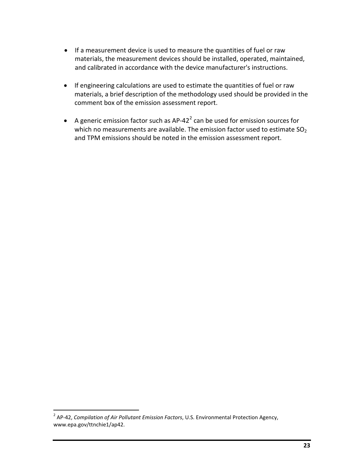- If a measurement device is used to measure the quantities of fuel or raw materials, the measurement devices should be installed, operated, maintained, and calibrated in accordance with the device manufacturer's instructions.
- If engineering calculations are used to estimate the quantities of fuel or raw materials, a brief description of the methodology used should be provided in the comment box of the emission assessment report.
- A generic emission factor such as  $AP-42^2$  $AP-42^2$  $AP-42^2$  can be used for emission sources for which no measurements are available. The emission factor used to estimate  $SO<sub>2</sub>$ and TPM emissions should be noted in the emission assessment report.

<span id="page-31-0"></span> <sup>2</sup> AP-42, *Compilation of Air Pollutant Emission Factors*, U.S. Environmental Protection Agency, www.epa.gov/ttnchie1/ap42.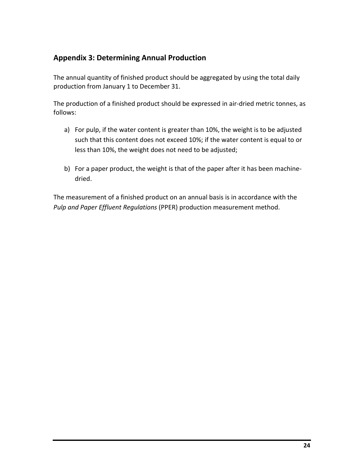# <span id="page-32-0"></span>**Appendix 3: Determining Annual Production**

The annual quantity of finished product should be aggregated by using the total daily production from January 1 to December 31.

The production of a finished product should be expressed in air-dried metric tonnes, as follows:

- a) For pulp, if the water content is greater than 10%, the weight is to be adjusted such that this content does not exceed 10%; if the water content is equal to or less than 10%, the weight does not need to be adjusted;
- b) For a paper product, the weight is that of the paper after it has been machinedried.

The measurement of a finished product on an annual basis is in accordance with the *Pulp and Paper Effluent Regulations* (PPER) production measurement method.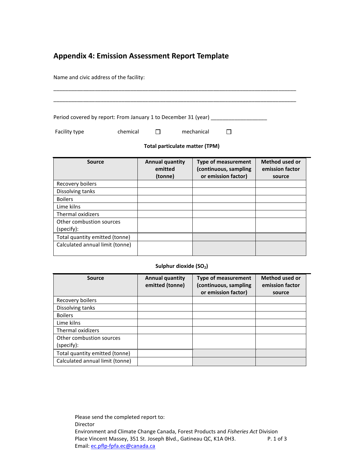# <span id="page-33-0"></span>**Appendix 4: Emission Assessment Report Template**

Name and civic address of the facility:

(specify):

Total quantity emitted (tonne) Calculated annual limit (tonne)

| Period covered by report: From January 1 to December 31 (year) |          |                                   |            |                                                     |                                          |
|----------------------------------------------------------------|----------|-----------------------------------|------------|-----------------------------------------------------|------------------------------------------|
| Facility type                                                  | chemical | П                                 | mechanical |                                                     |                                          |
| Total particulate matter (TPM)                                 |          |                                   |            |                                                     |                                          |
| <b>Source</b>                                                  |          | <b>Annual quantity</b><br>emitted |            | <b>Type of measurement</b><br>(continuous, sampling | <b>Method used or</b><br>emission factor |
|                                                                |          | (tonne)                           |            | or emission factor)                                 | source                                   |
| Recovery boilers                                               |          |                                   |            |                                                     |                                          |
| Dissolving tanks                                               |          |                                   |            |                                                     |                                          |
| <b>Boilers</b>                                                 |          |                                   |            |                                                     |                                          |
| Lime kilns                                                     |          |                                   |            |                                                     |                                          |
| Thermal oxidizers                                              |          |                                   |            |                                                     |                                          |

#### Sulphur dioxide (SO<sub>2</sub>)

| Source                                 | <b>Annual quantity</b><br>emitted (tonne) | <b>Type of measurement</b><br>(continuous, sampling<br>or emission factor) | Method used or<br>emission factor<br>source |
|----------------------------------------|-------------------------------------------|----------------------------------------------------------------------------|---------------------------------------------|
| Recovery boilers                       |                                           |                                                                            |                                             |
| Dissolving tanks                       |                                           |                                                                            |                                             |
| <b>Boilers</b>                         |                                           |                                                                            |                                             |
| Lime kilns                             |                                           |                                                                            |                                             |
| <b>Thermal oxidizers</b>               |                                           |                                                                            |                                             |
| Other combustion sources<br>(specify): |                                           |                                                                            |                                             |
| Total quantity emitted (tonne)         |                                           |                                                                            |                                             |
| Calculated annual limit (tonne)        |                                           |                                                                            |                                             |

Please send the completed report to: Director Environment and Climate Change Canada, Forest Products and *Fisheries Act* Division Place Vincent Massey, 351 St. Joseph Blvd., Gatineau QC, K1A 0H3. Email: [ec.pflp-fpfa.ec@canada.ca](mailto:ec.pflp-fpfa.ec@canada.ca)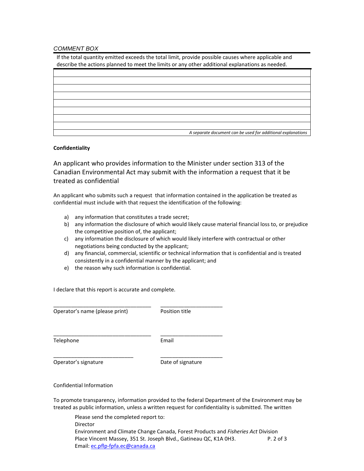#### *COMMENT BOX*

If the total quantity emitted exceeds the total limit, provide possible causes where applicable and describe the actions planned to meet the limits or any other additional explanations as needed.

| A separate document can be used for additional explanations |
|-------------------------------------------------------------|

#### **Confidentiality**

An applicant who provides information to the Minister under section 313 of the Canadian Environmental Act may submit with the information a request that it be treated as confidential

An applicant who submits such a request that information contained in the application be treated as confidential must include with that request the identification of the following:

- a) any information that constitutes a trade secret;
- b) any information the disclosure of which would likely cause material financial loss to, or prejudice the competitive position of, the applicant;
- c) any information the disclosure of which would likely interfere with contractual or other negotiations being conducted by the applicant;
- d) any financial, commercial, scientific or technical information that is confidential and is treated consistently in a confidential manner by the applicant; and
- e) the reason why such information is confidential.

\_\_\_\_\_\_\_\_\_\_\_\_\_\_\_\_\_\_\_\_\_\_\_\_\_\_\_\_\_\_\_\_\_ \_\_\_\_\_\_\_\_\_\_\_\_\_\_\_\_\_\_\_\_\_

\_\_\_\_\_\_\_\_\_\_\_\_\_\_\_\_\_\_\_\_\_\_\_\_\_\_\_\_\_\_\_\_\_ \_\_\_\_\_\_\_\_\_\_\_\_\_\_\_\_\_\_\_\_\_

\_\_\_\_\_\_\_\_\_\_\_\_\_\_\_\_\_\_\_\_\_\_\_\_\_\_\_ \_\_\_\_\_\_\_\_\_\_\_\_\_\_\_\_\_\_\_\_\_

I declare that this report is accurate and complete.

Operator's name (please print) Position title

Telephone **Email** 

Operator's signature **Date of signature** Date of signature

Confidential Information

To promote transparency, information provided to the federal Department of the Environment may be treated as public information, unless a written request for confidentiality is submitted. The written

Please send the completed report to: Director Environment and Climate Change Canada, Forest Products and *Fisheries Act* Division Place Vincent Massey, 351 St. Joseph Blvd., Gatineau QC, K1A 0H3. P. 2 of 3 Email: [ec.pflp-fpfa.ec@canada.ca](mailto:ec.pflp-fpfa.ec@canada.ca)